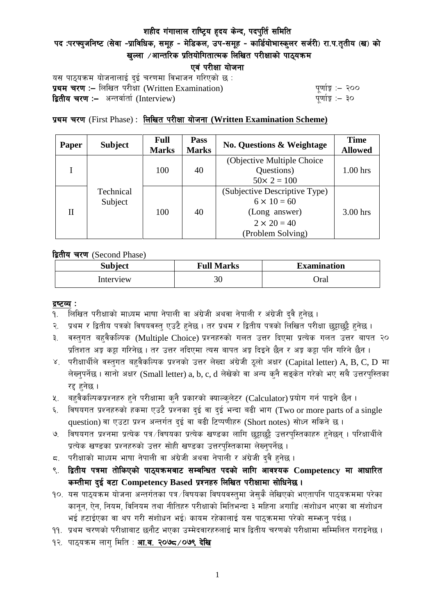# पद :परफ्युजनिष्ट (सेवा -प्राविधिक, समूह - मेडिकल, उप-समूह - कार्डियोभास्कुलर सर्जरी) रा.प.तृतीय (ख) को खल्ला  $\ell$ आन्तरिक प्रतियोगितात्मक लिखित परीक्षाको पाठ्यक्रम

एवं परीक्षा योजना

यस पाठ्यक्रम योजनालाई दुई चरणमा विभाजन गरिएको छ : प्रथम चरण :- लिखित परीसा (Written Examination)  $\frac{d}{dx}$  and  $\frac{d}{dx}$  and  $\frac{d}{dx}$  are  $\frac{d}{dx}$ **द्वितीय चरण :–** अन्तर्वार्ता (Interview) k and the set of the set of the set of the set of the set of the set o

# प्रथम चरण (First Phase) : लिखित परीक्षा योजना (Written Examination Scheme)

| <b>Paper</b> | <b>Subject</b>       | <b>Full</b><br><b>Marks</b> | Pass<br><b>Marks</b> | <b>No. Questions &amp; Weightage</b> | <b>Time</b><br><b>Allowed</b> |
|--------------|----------------------|-----------------------------|----------------------|--------------------------------------|-------------------------------|
|              | Technical<br>Subject | 100                         | 40                   | (Objective Multiple Choice)          |                               |
|              |                      |                             |                      | Questions)                           | $1.00$ hrs                    |
|              |                      |                             |                      | $50 \times 2 = 100$                  |                               |
| H            |                      | 100                         | 40                   | (Subjective Descriptive Type)        |                               |
|              |                      |                             |                      | $6 \times 10 = 60$                   |                               |
|              |                      |                             |                      | (Long answer)                        | $3.00$ hrs                    |
|              |                      |                             |                      | $2 \times 20 = 40$                   |                               |
|              |                      |                             |                      | (Problem Solving)                    |                               |

द्वितीय चरण (Second Phase)

| <b>Subject</b> | <b>Full Marks</b> | <b>Examination</b> |  |
|----------------|-------------------|--------------------|--|
| Interview      | 30                | Oral               |  |

#### द्रष्टव्य :

- १. लिखित परीक्षाको माध्यम भाषा नेपाली वा अंग्रेजी अथवा नेपाली र अंग्रेजी द्वै हुनेछ ।
- २. प्रथम र द्वितीय पत्रको विषयवस्त् एउटै हुनेछ । तर प्रथम र द्वितीय पत्रको लिखित परीक्षा छुट्टाछुट्टै हुनेछ ।
- ३. वस्तुगत बहुवैकल्पिक (Multiple Choice) प्रश्नहरुको गलत उत्तर दिएमा प्रत्येक गलत उत्तर बापत २० प्रतिशत अड़ू कट्टा गरिनेछ । तर उत्तर नदिएमा त्यस बापत अड़ू दिइने छैन र अड़ू कट्टा पनि गरिने छैन ।
- ४. परीक्षार्थीले वस्तुगत बहुवैकल्पिक प्रश्नको उत्तर लेख्दा अंग्रेजी ठूलो अक्षर (Capital letter) A, B, C, D मा लेख्नुपर्नेछ । सानो अक्षर (Small letter) a, b, c, d लेखेको वा अन्य कुनै सड्केत गरेको भए सबै उत्तरपुस्तिका रद्द हनेछ ।
- ५. वहवैकल्पिकप्रश्नहरु हुने परीक्षामा कुनै प्रकारको क्याल्कुलेटर (Calculator) प्रयोग गर्न पाइने छैन ।
- ६. विषयगत प्रश्नहरुको हकमा एउटै प्रश्नका दुई वा दुई भन्दा बढी भाग (Two or more parts of a single question) वा एउटा प्रश्न अन्तर्गत दुई वा बढी टिप्पणीहरु (Short notes) सोध्न सकिने छ।
- ७. विषयगत प्रश्नमा प्रत्येक पत्र ∕विषयका प्रत्येक खण्डका लागि छट्टाछट्टै उत्तरपुस्तिकाहरु हुनेछन् । परिक्षार्थीले प्रत्येक खण्डका प्रश्नहरुको उत्तर सोही खण्डका उत्तरपस्तिकामा लेख्नपर्नेछ ।
- $\,$ द. परीक्षाको माध्यम भाषा नेपाली वा अंग्रेजी अथवा नेपाली र अंग्रेजी द्वै हुनेछ ।
- ९. द्वितीय पत्रमा तोकिएको पाठ्यक्रमबाट सम्बन्धित पदको लागि आवश्यक Competency मा आधारित कम्तीमा दई वटा Competency Based प्रश्नहरु लिखित परीक्षामा सोधिनेछ।
- $10.$  यस पाठ्यक्रम योजना अन्तर्गतका पत्र /विषयका विषयवस्तुमा जेसुकै लेखिएको भएतापनि पाठ्यक्रममा परेका कानून, ऐन, नियम, विनियम तथा नीतिहरु परीक्षाको मितिभन्दा ३ महिना अगाडि (संशोधन भएका वा संशोधन भई हटाईएका वा थप गरी संशोधन भई) कायम रहेकालाई यस पाठकममा परेको सम्भन्न पर्दछ ।
- ११. प्रथम चरणको परीक्षाबाट छनौट भएका उम्मेदवारहरुलाई मात्र द्वितीय चरणको परीक्षामा सम्मिलित गराइनेछ ।
- १२. पाठ्यक्रम लाग मिति : **आ.व. २०७८ /०७९ देखि**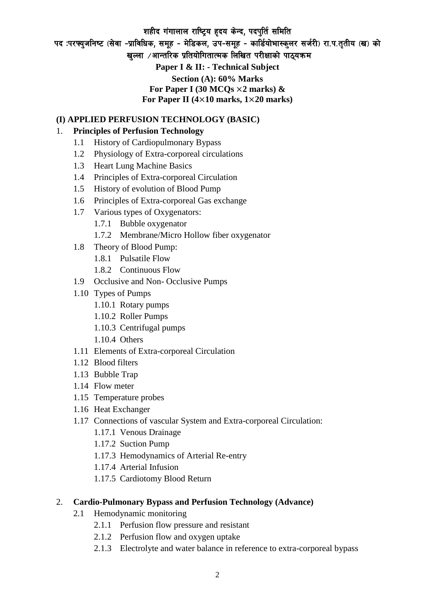पद :परफ्युजनिष्ट (सेवा -प्राविधिक, समूह - मेडिकल, उप-समूह - कार्डियोभास्कुलर सर्जरी) रा.प.तुतीय (ख) को खल्ला  $\ell$ आन्तरिक प्रतियोगितात्मक लिखित परीक्षाको पाठयक्रम

**Paper I & II: - Technical Subject Section (A): 60% Marks For Paper I (30 MCQs** ×**2 marks) & For Paper II (4**×**10 marks, 1**×**20 marks)**

#### **(I) APPLIED PERFUSION TECHNOLOGY (BASIC)**

#### 1. **Principles of Perfusion Technology**

- 1.1 History of Cardiopulmonary Bypass
- 1.2 Physiology of Extra-corporeal circulations
- 1.3 Heart Lung Machine Basics
- 1.4 Principles of Extra-corporeal Circulation
- 1.5 History of evolution of Blood Pump
- 1.6 Principles of Extra-corporeal Gas exchange
- 1.7 Various types of Oxygenators:
	- 1.7.1 Bubble oxygenator
	- 1.7.2 Membrane/Micro Hollow fiber oxygenator
- 1.8 Theory of Blood Pump:
	- 1.8.1 Pulsatile Flow
	- 1.8.2 Continuous Flow
- 1.9 Occlusive and Non- Occlusive Pumps
- 1.10 Types of Pumps
	- 1.10.1 Rotary pumps
	- 1.10.2 Roller Pumps
	- 1.10.3 Centrifugal pumps
	- 1.10.4 Others
- 1.11 Elements of Extra-corporeal Circulation
- 1.12 Blood filters
- 1.13 Bubble Trap
- 1.14 Flow meter
- 1.15 Temperature probes
- 1.16 Heat Exchanger
- 1.17 Connections of vascular System and Extra-corporeal Circulation:
	- 1.17.1 Venous Drainage
	- 1.17.2 Suction Pump
	- 1.17.3 Hemodynamics of Arterial Re-entry
	- 1.17.4 Arterial Infusion
	- 1.17.5 Cardiotomy Blood Return

#### 2. **Cardio-Pulmonary Bypass and Perfusion Technology (Advance)**

- 2.1 Hemodynamic monitoring
	- 2.1.1 Perfusion flow pressure and resistant
	- 2.1.2 Perfusion flow and oxygen uptake
	- 2.1.3 Electrolyte and water balance in reference to extra-corporeal bypass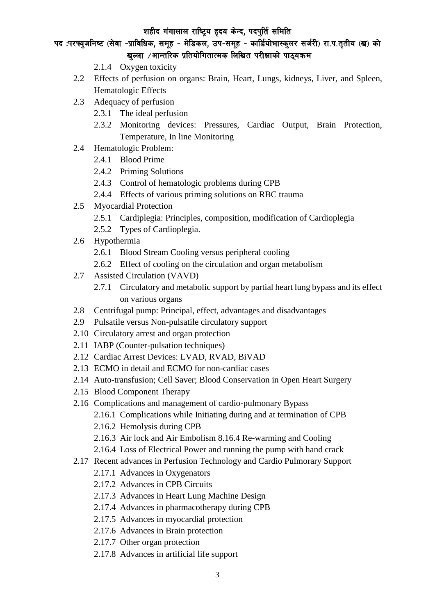# पद :परफ्युजनिष्ट (सेवा -प्राविधिक, समूह - मेडिकल, उप-समूह - कार्डियोभास्कुलर सर्जरी) रा.प.तुतीय (ख) को खल्ला  $\ell$ आन्तरिक प्रतियोगितात्मक लिखित परीक्षाको पाठ्यक्रम

- 2.1.4 Oxygen toxicity
- 2.2 Effects of perfusion on organs: Brain, Heart, Lungs, kidneys, Liver, and Spleen, Hematologic Effects
- 2.3 Adequacy of perfusion
	- 2.3.1 The ideal perfusion
	- 2.3.2 Monitoring devices: Pressures, Cardiac Output, Brain Protection, Temperature, In line Monitoring
- 2.4 Hematologic Problem:
	- 2.4.1 Blood Prime
	- 2.4.2 Priming Solutions
	- 2.4.3 Control of hematologic problems during CPB
	- 2.4.4 Effects of various priming solutions on RBC trauma
- 2.5 Myocardial Protection
	- 2.5.1 Cardiplegia: Principles, composition, modification of Cardioplegia
	- 2.5.2 Types of Cardioplegia.
- 2.6 Hypothermia
	- 2.6.1 Blood Stream Cooling versus peripheral cooling
	- 2.6.2 Effect of cooling on the circulation and organ metabolism
- 2.7 Assisted Circulation (VAVD)
	- 2.7.1 Circulatory and metabolic support by partial heart lung bypass and its effect on various organs
- 2.8 Centrifugal pump: Principal, effect, advantages and disadvantages
- 2.9 Pulsatile versus Non-pulsatile circulatory support
- 2.10 Circulatory arrest and organ protection
- 2.11 IABP (Counter-pulsation techniques)
- 2.12 Cardiac Arrest Devices: LVAD, RVAD, BiVAD
- 2.13 ECMO in detail and ECMO for non-cardiac cases
- 2.14 Auto-transfusion; Cell Saver; Blood Conservation in Open Heart Surgery
- 2.15 Blood Component Therapy
- 2.16 Complications and management of cardio-pulmonary Bypass
	- 2.16.1 Complications while Initiating during and at termination of CPB
	- 2.16.2 Hemolysis during CPB
	- 2.16.3 Air lock and Air Embolism 8.16.4 Re-warming and Cooling
	- 2.16.4 Loss of Electrical Power and running the pump with hand crack
- 2.17 Recent advances in Perfusion Technology and Cardio Pulmorary Support
	- 2.17.1 Advances in Oxygenators
	- 2.17.2 Advances in CPB Circuits
	- 2.17.3 Advances in Heart Lung Machine Design
	- 2.17.4 Advances in pharmacotherapy during CPB
	- 2.17.5 Advances in myocardial protection
	- 2.17.6 Advances in Brain protection
	- 2.17.7 Other organ protection
	- 2.17.8 Advances in artificial life support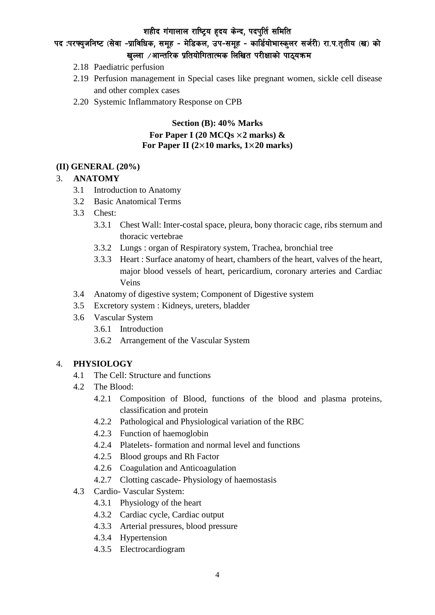# पद :परफ्युजनिष्ट (सेवा -प्राविधिक, समूह - मेडिकल, उप-समूह - कार्डियोभास्कुलर सर्जरी) रा.प.तुतीय (ख) को खल्ला  $\ell$ आन्तरिक प्रतियोगितात्मक लिखित परीक्षाको पाठ्यक्रम

- 2.18 Paediatric perfusion
- 2.19 Perfusion management in Special cases like pregnant women, sickle cell disease and other complex cases
- 2.20 Systemic Inflammatory Response on CPB

### **Section (B): 40% Marks For Paper I (20 MCQs** ×**2 marks) & For Paper II (2**×**10 marks, 1**×**20 marks)**

#### **(II) GENERAL (20%)**

### 3. **ANATOMY**

- 3.1 Introduction to Anatomy
- 3.2 Basic Anatomical Terms
- 3.3 Chest:
	- 3.3.1 Chest Wall: Inter-costal space, pleura, bony thoracic cage, ribs sternum and thoracic vertebrae
	- 3.3.2 Lungs : organ of Respiratory system, Trachea, bronchial tree
	- 3.3.3 Heart : Surface anatomy of heart, chambers of the heart, valves of the heart, major blood vessels of heart, pericardium, coronary arteries and Cardiac Veins
- 3.4 Anatomy of digestive system; Component of Digestive system
- 3.5 Excretory system : Kidneys, ureters, bladder
- 3.6 Vascular System
	- 3.6.1 Introduction
	- 3.6.2 Arrangement of the Vascular System

#### 4. **PHYSIOLOGY**

- 4.1 The Cell: Structure and functions
- 4.2 The Blood:
	- 4.2.1 Composition of Blood, functions of the blood and plasma proteins, classification and protein
	- 4.2.2 Pathological and Physiological variation of the RBC
	- 4.2.3 Function of haemoglobin
	- 4.2.4 Platelets- formation and normal level and functions
	- 4.2.5 Blood groups and Rh Factor
	- 4.2.6 Coagulation and Anticoagulation
	- 4.2.7 Clotting cascade- Physiology of haemostasis
- 4.3 Cardio- Vascular System:
	- 4.3.1 Physiology of the heart
	- 4.3.2 Cardiac cycle, Cardiac output
	- 4.3.3 Arterial pressures, blood pressure
	- 4.3.4 Hypertension
	- 4.3.5 Electrocardiogram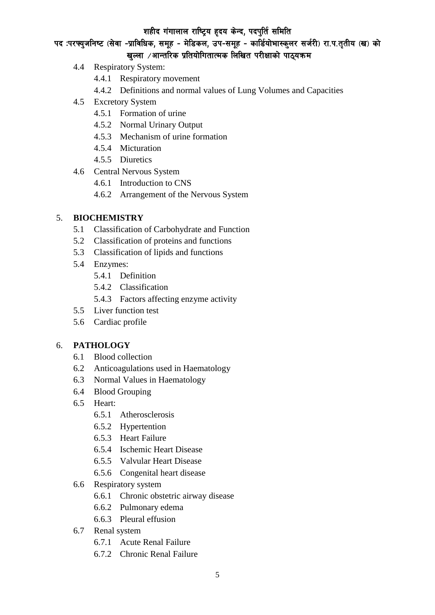पद :परफ्युजनिष्ट (सेवा -प्राविधिक, समूह - मेडिकल, उप-समूह - कार्डियोभास्कुलर सर्जरी) रा.प.तृतीय (ख) को खल्ला  $\ell$ आन्तरिक प्रतियोगितात्मक लिखित परीक्षाको पाठ्यक्रम

- 4.4 Respiratory System:
	- 4.4.1 Respiratory movement
	- 4.4.2 Definitions and normal values of Lung Volumes and Capacities
- 4.5 Excretory System
	- 4.5.1 Formation of urine
	- 4.5.2 Normal Urinary Output
	- 4.5.3 Mechanism of urine formation
	- 4.5.4 Micturation
	- 4.5.5 Diuretics
- 4.6 Central Nervous System
	- 4.6.1 Introduction to CNS
	- 4.6.2 Arrangement of the Nervous System

### 5. **BIOCHEMISTRY**

- 5.1 Classification of Carbohydrate and Function
- 5.2 Classification of proteins and functions
- 5.3 Classification of lipids and functions
- 5.4 Enzymes:
	- 5.4.1 Definition
	- 5.4.2 Classification
	- 5.4.3 Factors affecting enzyme activity
- 5.5 Liver function test
- 5.6 Cardiac profile

### 6. **PATHOLOGY**

- 6.1 Blood collection
- 6.2 Anticoagulations used in Haematology
- 6.3 Normal Values in Haematology
- 6.4 Blood Grouping
- 6.5 Heart:
	- 6.5.1 Atherosclerosis
	- 6.5.2 Hypertention
	- 6.5.3 Heart Failure
	- 6.5.4 Ischemic Heart Disease
	- 6.5.5 Valvular Heart Disease
	- 6.5.6 Congenital heart disease
- 6.6 Respiratory system
	- 6.6.1 Chronic obstetric airway disease
	- 6.6.2 Pulmonary edema
	- 6.6.3 Pleural effusion
- 6.7 Renal system
	- 6.7.1 Acute Renal Failure
	- 6.7.2 Chronic Renal Failure